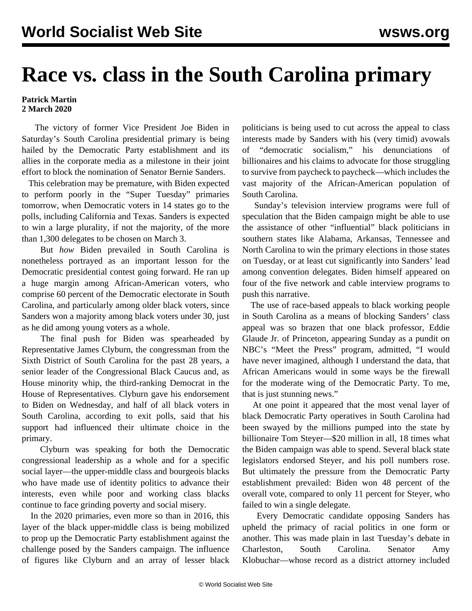## **Race vs. class in the South Carolina primary**

## **Patrick Martin 2 March 2020**

 The victory of former Vice President Joe Biden in Saturday's South Carolina presidential primary is being hailed by the Democratic Party establishment and its allies in the corporate media as a milestone in their joint effort to block the nomination of Senator Bernie Sanders.

 This celebration may be premature, with Biden expected to perform poorly in the "Super Tuesday" primaries tomorrow, when Democratic voters in 14 states go to the polls, including California and Texas. Sanders is expected to win a large plurality, if not the majority, of the more than 1,300 delegates to be chosen on March 3.

 But *how* Biden prevailed in South Carolina is nonetheless portrayed as an important lesson for the Democratic presidential contest going forward. He ran up a huge margin among African-American voters, who comprise 60 percent of the Democratic electorate in South Carolina, and particularly among older black voters, since Sanders won a majority among black voters under 30, just as he did among young voters as a whole.

 The final push for Biden was spearheaded by Representative James Clyburn, the congressman from the Sixth District of South Carolina for the past 28 years, a senior leader of the Congressional Black Caucus and, as House minority whip, the third-ranking Democrat in the House of Representatives. Clyburn gave his endorsement to Biden on Wednesday, and half of all black voters in South Carolina, according to exit polls, said that his support had influenced their ultimate choice in the primary.

 Clyburn was speaking for both the Democratic congressional leadership as a whole and for a specific social layer—the upper-middle class and bourgeois blacks who have made use of identity politics to advance their interests, even while poor and working class blacks continue to face grinding poverty and social misery.

 In the 2020 primaries, even more so than in 2016, this layer of the black upper-middle class is being mobilized to prop up the Democratic Party establishment against the challenge posed by the Sanders campaign. The influence of figures like Clyburn and an array of lesser black politicians is being used to cut across the appeal to class interests made by Sanders with his (very timid) avowals of "democratic socialism." his denunciations billionaires and his claims to advocate for those struggling to survive from paycheck to paycheck—which includes the vast majority of the African-American population of South Carolina.

 Sunday's television interview programs were full of speculation that the Biden campaign might be able to use the assistance of other "influential" black politicians in southern states like Alabama, Arkansas, Tennessee and North Carolina to win the primary elections in those states on Tuesday, or at least cut significantly into Sanders' lead among convention delegates. Biden himself appeared on four of the five network and cable interview programs to push this narrative.

 The use of race-based appeals to black working people in South Carolina as a means of blocking Sanders' class appeal was so brazen that one black professor, Eddie Glaude Jr. of Princeton, appearing Sunday as a pundit on NBC's "Meet the Press" program, admitted, "I would have never imagined, although I understand the data, that African Americans would in some ways be the firewall for the moderate wing of the Democratic Party. To me, that is just stunning news."

 At one point it appeared that the most venal layer of black Democratic Party operatives in South Carolina had been swayed by the millions pumped into the state by billionaire Tom Steyer—\$20 million in all, 18 times what the Biden campaign was able to spend. Several black state legislators endorsed Steyer, and his poll numbers rose. But ultimately the pressure from the Democratic Party establishment prevailed: Biden won 48 percent of the overall vote, compared to only 11 percent for Steyer, who failed to win a single delegate.

 Every Democratic candidate opposing Sanders has upheld the primacy of racial politics in one form or another. This was made plain in last Tuesday's debate in Charleston, South Carolina. Senator Amy Klobuchar—whose record as a district attorney included